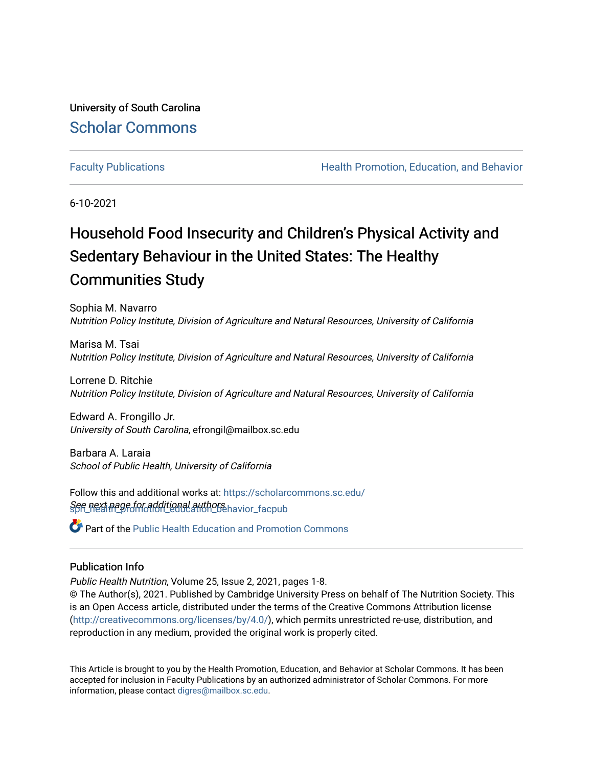University of South Carolina [Scholar Commons](https://scholarcommons.sc.edu/) 

[Faculty Publications](https://scholarcommons.sc.edu/sph_health_promotion_education_behavior_facpub) **Health Promotion, Education, and Behavior Health Promotion, Education, and Behavior** 

6-10-2021

# Household Food Insecurity and Children's Physical Activity and Sedentary Behaviour in the United States: The Healthy Communities Study

Sophia M. Navarro Nutrition Policy Institute, Division of Agriculture and Natural Resources, University of California

Marisa M. Tsai Nutrition Policy Institute, Division of Agriculture and Natural Resources, University of California

Lorrene D. Ritchie Nutrition Policy Institute, Division of Agriculture and Natural Resources, University of California

Edward A. Frongillo Jr. University of South Carolina, efrongil@mailbox.sc.edu

Barbara A. Laraia School of Public Health, University of California

See next page for additional authors havior\_facpub Follow this and additional works at: [https://scholarcommons.sc.edu/](https://scholarcommons.sc.edu/sph_health_promotion_education_behavior_facpub?utm_source=scholarcommons.sc.edu%2Fsph_health_promotion_education_behavior_facpub%2F293&utm_medium=PDF&utm_campaign=PDFCoverPages)

Part of the [Public Health Education and Promotion Commons](http://network.bepress.com/hgg/discipline/743?utm_source=scholarcommons.sc.edu%2Fsph_health_promotion_education_behavior_facpub%2F293&utm_medium=PDF&utm_campaign=PDFCoverPages) 

### Publication Info

Public Health Nutrition, Volume 25, Issue 2, 2021, pages 1-8.

© The Author(s), 2021. Published by Cambridge University Press on behalf of The Nutrition Society. This is an Open Access article, distributed under the terms of the Creative Commons Attribution license [\(http://creativecommons.org/licenses/by/4.0/\)](http://creativecommons.org/licenses/by/4.0/), which permits unrestricted re-use, distribution, and reproduction in any medium, provided the original work is properly cited.

This Article is brought to you by the Health Promotion, Education, and Behavior at Scholar Commons. It has been accepted for inclusion in Faculty Publications by an authorized administrator of Scholar Commons. For more information, please contact [digres@mailbox.sc.edu.](mailto:digres@mailbox.sc.edu)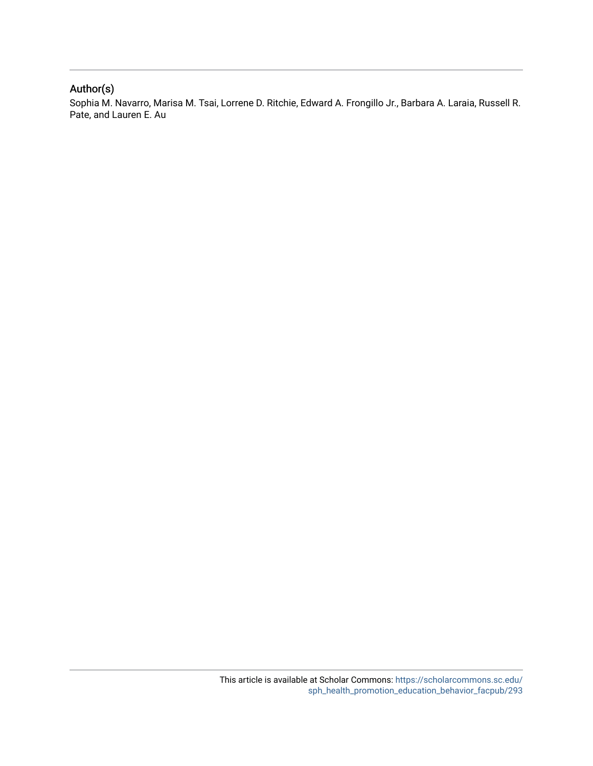## Author(s)

Sophia M. Navarro, Marisa M. Tsai, Lorrene D. Ritchie, Edward A. Frongillo Jr., Barbara A. Laraia, Russell R. Pate, and Lauren E. Au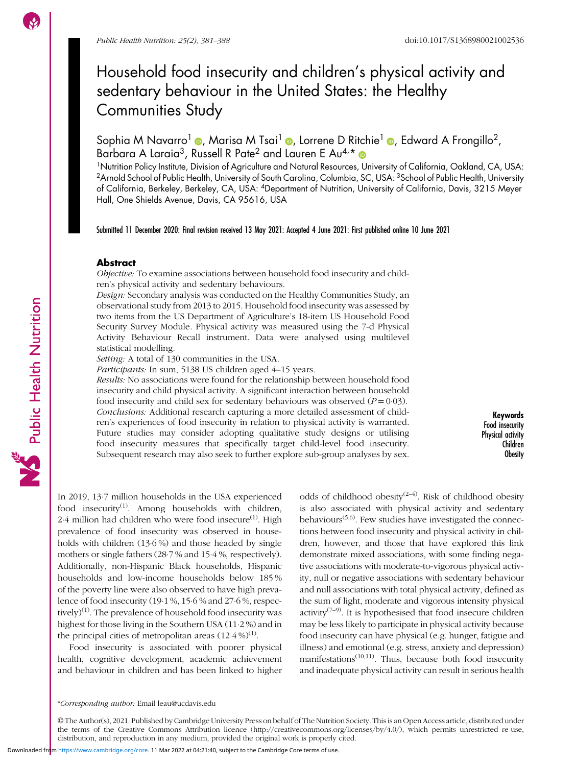Public Health Nutrition

## Household food insecurity and children's physical activity and sedentary behaviour in the United States: the Healthy Communities Study

Sophia M Navarro<sup>1</sup> (a)[,](https://orcid.org/0000-0002-8038-1821) Marisa M Tsai<sup>1</sup> (a), Lorrene D Ritchie<sup>1</sup> (a), Edward A Frongillo<sup>2</sup>, Barbara A Laraia<sup>3</sup>, Russell R Pate<sup>2</sup> and Lauren E Au<sup>4,\*</sup>

1Nutrition Policy Institute, Division of Agriculture and Natural Resources, University of California, Oakland, CA, USA: <sup>2</sup>Arnold School of Public Health, University of South Carolina, Columbia, SC, USA: <sup>3</sup>School of Public Health, University of California, Berkeley, Berkeley, CA, USA: 4Department of Nutrition, University of California, Davis, 3215 Meyer Hall, One Shields Avenue, Davis, CA 95616, USA

Submitted 11 December 2020: Final revision received 13 May 2021: Accepted 4 June 2021: First published online 10 June 2021

#### Abstract

Objective: To examine associations between household food insecurity and children's physical activity and sedentary behaviours.

Design: Secondary analysis was conducted on the Healthy Communities Study, an observational study from 2013 to 2015. Household food insecurity was assessed by two items from the US Department of Agriculture's 18-item US Household Food Security Survey Module. Physical activity was measured using the 7-d Physical Activity Behaviour Recall instrument. Data were analysed using multilevel statistical modelling.

Setting: A total of 130 communities in the USA.

Participants: In sum, 5138 US children aged 4-15 years.

Results: No associations were found for the relationship between household food insecurity and child physical activity. A significant interaction between household food insecurity and child sex for sedentary behaviours was observed  $(P = 0.03)$ . Conclusions: Additional research capturing a more detailed assessment of children's experiences of food insecurity in relation to physical activity is warranted. Future studies may consider adopting qualitative study designs or utilising food insecurity measures that specifically target child-level food insecurity. Subsequent research may also seek to further explore sub-group analyses by sex.

Keywords Food insecurity Physical activity Children Obesity

In 2019, 13·7 million households in the USA experienced food insecurity<sup>([1\)](#page-7-0)</sup>. Among households with children,  $2.4$  million had children who were food insecure<sup>[\(1\)](#page-7-0)</sup>. High prevalence of food insecurity was observed in households with children (13·6 %) and those headed by single mothers or single fathers (28·7 % and 15·4 %, respectively). Additionally, non-Hispanic Black households, Hispanic households and low-income households below 185 % of the poverty line were also observed to have high prevalence of food insecurity (19·1 %, 15·6 % and 27·6 %, respectively $(1)$  $(1)$ . The prevalence of household food insecurity was highest for those living in the Southern USA (11·2 %) and in the principal cities of metropolitan areas  $(12.4\%)^{(1)}$  $(12.4\%)^{(1)}$  $(12.4\%)^{(1)}$ .

Food insecurity is associated with poorer physical health, cognitive development, academic achievement and behaviour in children and has been linked to higher odds of childhood obesity<sup> $(2-4)$  $(2-4)$  $(2-4)$  $(2-4)$ </sup>. Risk of childhood obesity is also associated with physical activity and sedentary behaviours<sup>[\(5,6\)](#page-8-0)</sup>. Few studies have investigated the connections between food insecurity and physical activity in children, however, and those that have explored this link demonstrate mixed associations, with some finding negative associations with moderate-to-vigorous physical activity, null or negative associations with sedentary behaviour and null associations with total physical activity, defined as the sum of light, moderate and vigorous intensity physical activity<sup> $(7-9)$  $(7-9)$  $(7-9)$  $(7-9)$ </sup>. It is hypothesised that food insecure children may be less likely to participate in physical activity because food insecurity can have physical (e.g. hunger, fatigue and illness) and emotional (e.g. stress, anxiety and depression) manifestations $(10,11)$  $(10,11)$  $(10,11)$  $(10,11)$ . Thus, because both food insecurity and inadequate physical activity can result in serious health

<sup>\*</sup>Corresponding author: Email leau@ucdavis.edu

<sup>©</sup> The Author(s), 2021. Published by Cambridge University Press on behalf of The Nutrition Society. This is an Open Access article, distributed under the terms of the Creative Commons Attribution licence ([http://creativecommons.org/licenses/by/4.0/\)](http://creativecommons.org/licenses/by/4.0/), which permits unrestricted re-use, distribution, and reproduction in any medium, provided the original work is properly cited.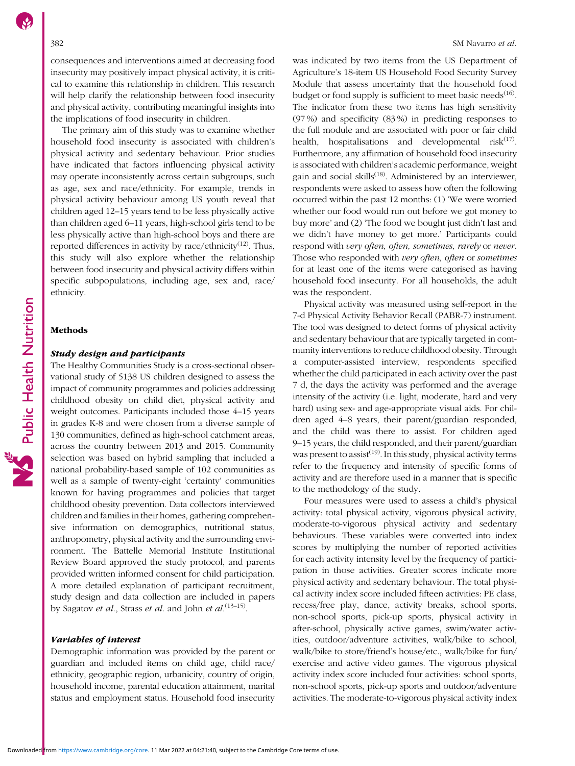consequences and interventions aimed at decreasing food insecurity may positively impact physical activity, it is critical to examine this relationship in children. This research will help clarify the relationship between food insecurity and physical activity, contributing meaningful insights into the implications of food insecurity in children.

The primary aim of this study was to examine whether household food insecurity is associated with children's physical activity and sedentary behaviour. Prior studies have indicated that factors influencing physical activity may operate inconsistently across certain subgroups, such as age, sex and race/ethnicity. For example, trends in physical activity behaviour among US youth reveal that children aged 12–15 years tend to be less physically active than children aged 6–11 years, high-school girls tend to be less physically active than high-school boys and there are reported differences in activity by race/ethnicity<sup>[\(12](#page-8-0))</sup>. Thus, this study will also explore whether the relationship between food insecurity and physical activity differs within specific subpopulations, including age, sex and, race/ ethnicity.

#### Methods

#### Study design and participants

The Healthy Communities Study is a cross-sectional observational study of 5138 US children designed to assess the impact of community programmes and policies addressing childhood obesity on child diet, physical activity and weight outcomes. Participants included those 4–15 years in grades K-8 and were chosen from a diverse sample of 130 communities, defined as high-school catchment areas, across the country between 2013 and 2015. Community selection was based on hybrid sampling that included a national probability-based sample of 102 communities as well as a sample of twenty-eight 'certainty' communities known for having programmes and policies that target childhood obesity prevention. Data collectors interviewed children and families in their homes, gathering comprehensive information on demographics, nutritional status, anthropometry, physical activity and the surrounding environment. The Battelle Memorial Institute Institutional Review Board approved the study protocol, and parents provided written informed consent for child participation. A more detailed explanation of participant recruitment, study design and data collection are included in papers by Sagatov et al., Strass et al. and John et  $al$ .  $(13-15)$  $(13-15)$  $(13-15)$ .

#### Variables of interest

Demographic information was provided by the parent or guardian and included items on child age, child race/ ethnicity, geographic region, urbanicity, country of origin, household income, parental education attainment, marital status and employment status. Household food insecurity

was indicated by two items from the US Department of Agriculture's 18-item US Household Food Security Survey Module that assess uncertainty that the household food budget or food supply is sufficient to meet basic needs<sup>[\(16\)](#page-8-0)</sup>. The indicator from these two items has high sensitivity (97 %) and specificity (83 %) in predicting responses to the full module and are associated with poor or fair child health, hospitalisations and developmental  $risk^{(17)}$  $risk^{(17)}$  $risk^{(17)}$ . Furthermore, any affirmation of household food insecurity is associated with children's academic performance, weight gain and social skills<sup> $(18)$ </sup>. Administered by an interviewer, respondents were asked to assess how often the following occurred within the past 12 months: (1) 'We were worried whether our food would run out before we got money to buy more' and (2) 'The food we bought just didn't last and we didn't have money to get more.' Participants could respond with very often, often, sometimes, rarely or never. Those who responded with very often, often or sometimes for at least one of the items were categorised as having household food insecurity. For all households, the adult was the respondent.

Physical activity was measured using self-report in the 7-d Physical Activity Behavior Recall (PABR-7) instrument. The tool was designed to detect forms of physical activity and sedentary behaviour that are typically targeted in community interventions to reduce childhood obesity. Through a computer-assisted interview, respondents specified whether the child participated in each activity over the past 7 d, the days the activity was performed and the average intensity of the activity (i.e. light, moderate, hard and very hard) using sex- and age-appropriate visual aids. For children aged 4–8 years, their parent/guardian responded, and the child was there to assist. For children aged 9–15 years, the child responded, and their parent/guardian was present to assist<sup> $(19)$  $(19)$  $(19)$ </sup>. In this study, physical activity terms refer to the frequency and intensity of specific forms of activity and are therefore used in a manner that is specific to the methodology of the study.

Four measures were used to assess a child's physical activity: total physical activity, vigorous physical activity, moderate-to-vigorous physical activity and sedentary behaviours. These variables were converted into index scores by multiplying the number of reported activities for each activity intensity level by the frequency of participation in those activities. Greater scores indicate more physical activity and sedentary behaviour. The total physical activity index score included fifteen activities: PE class, recess/free play, dance, activity breaks, school sports, non-school sports, pick-up sports, physical activity in after-school, physically active games, swim/water activities, outdoor/adventure activities, walk/bike to school, walk/bike to store/friend's house/etc., walk/bike for fun/ exercise and active video games. The vigorous physical activity index score included four activities: school sports, non-school sports, pick-up sports and outdoor/adventure activities. The moderate-to-vigorous physical activity index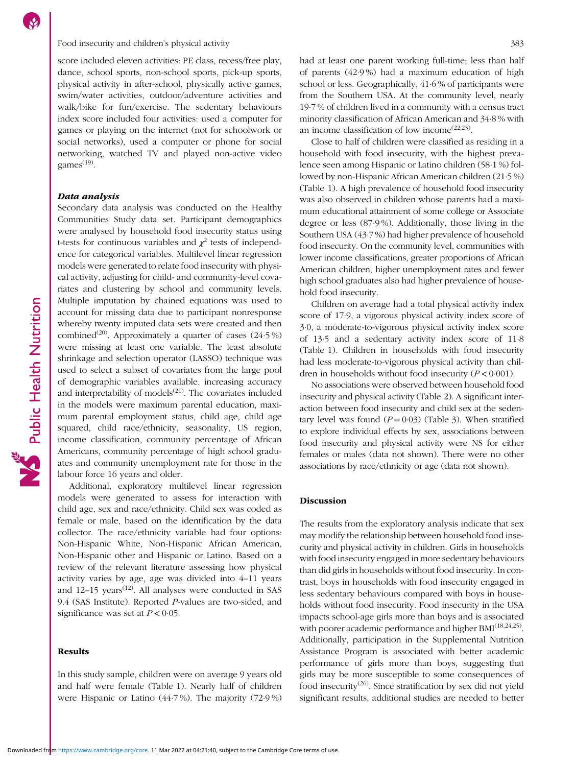Food insecurity and children's physical activity 383

score included eleven activities: PE class, recess/free play, dance, school sports, non-school sports, pick-up sports, physical activity in after-school, physically active games, swim/water activities, outdoor/adventure activities and walk/bike for fun/exercise. The sedentary behaviours index score included four activities: used a computer for games or playing on the internet (not for schoolwork or social networks), used a computer or phone for social networking, watched TV and played non-active video games $^{(19)}$  $^{(19)}$  $^{(19)}$ .

#### Data analysis

Secondary data analysis was conducted on the Healthy Communities Study data set. Participant demographics were analysed by household food insecurity status using t-tests for continuous variables and  $\chi^2$  tests of independence for categorical variables. Multilevel linear regression models were generated to relate food insecurity with physical activity, adjusting for child- and community-level covariates and clustering by school and community levels. Multiple imputation by chained equations was used to account for missing data due to participant nonresponse whereby twenty imputed data sets were created and then combined<sup>[\(20\)](#page-8-0)</sup>. Approximately a quarter of cases  $(24.5\%)$ were missing at least one variable. The least absolute shrinkage and selection operator (LASSO) technique was used to select a subset of covariates from the large pool of demographic variables available, increasing accuracy and interpretability of models $(21)$  $(21)$ . The covariates included in the models were maximum parental education, maximum parental employment status, child age, child age squared, child race/ethnicity, seasonality, US region, income classification, community percentage of African Americans, community percentage of high school graduates and community unemployment rate for those in the labour force 16 years and older.

Additional, exploratory multilevel linear regression models were generated to assess for interaction with child age, sex and race/ethnicity. Child sex was coded as female or male, based on the identification by the data collector. The race/ethnicity variable had four options: Non-Hispanic White, Non-Hispanic African American, Non-Hispanic other and Hispanic or Latino. Based on a review of the relevant literature assessing how physical activity varies by age, age was divided into 4–11 years and  $12-15$  years<sup> $(12)$ </sup>. All analyses were conducted in SAS 9.4 (SAS Institute). Reported P-values are two-sided, and significance was set at  $P < 0.05$ .

#### Results

In this study sample, children were on average 9 years old and half were female (Table [1](#page-5-0)). Nearly half of children were Hispanic or Latino (44·7 %). The majority (72·9 %) had at least one parent working full-time; less than half of parents (42·9 %) had a maximum education of high school or less. Geographically, 41·6 % of participants were from the Southern USA. At the community level, nearly 19·7 % of children lived in a community with a census tract minority classification of African American and 34·8 % with an income classification of low income  $(22,23)$  $(22,23)$ .

Close to half of children were classified as residing in a household with food insecurity, with the highest prevalence seen among Hispanic or Latino children (58·1 %) followed by non-Hispanic African American children (21·5 %) (Table [1](#page-5-0)). A high prevalence of household food insecurity was also observed in children whose parents had a maximum educational attainment of some college or Associate degree or less (87·9 %). Additionally, those living in the Southern USA (43·7 %) had higher prevalence of household food insecurity. On the community level, communities with lower income classifications, greater proportions of African American children, higher unemployment rates and fewer high school graduates also had higher prevalence of household food insecurity.

Children on average had a total physical activity index score of 17·9, a vigorous physical activity index score of 3·0, a moderate-to-vigorous physical activity index score of 13·5 and a sedentary activity index score of 11·8 (Table [1](#page-5-0)). Children in households with food insecurity had less moderate-to-vigorous physical activity than children in households without food insecurity  $(P < 0.001)$ .

No associations were observed between household food insecurity and physical activity (Table [2\)](#page-6-0). A significant interaction between food insecurity and child sex at the sedentary level was found  $(P = 0.03)$  (Table [3\)](#page-6-0). When stratified to explore individual effects by sex, associations between food insecurity and physical activity were NS for either females or males (data not shown). There were no other associations by race/ethnicity or age (data not shown).

### Discussion

The results from the exploratory analysis indicate that sex may modify the relationship between household food insecurity and physical activity in children. Girls in households with food insecurity engaged in more sedentary behaviours than did girls in households without food insecurity. In contrast, boys in households with food insecurity engaged in less sedentary behaviours compared with boys in households without food insecurity. Food insecurity in the USA impacts school-age girls more than boys and is associated with poorer academic performance and higher BMI<sup>([18,24,25](#page-8-0))</sup>. Additionally, participation in the Supplemental Nutrition Assistance Program is associated with better academic performance of girls more than boys, suggesting that girls may be more susceptible to some consequences of food insecurity<sup> $(26)$  $(26)$ </sup>. Since stratification by sex did not yield significant results, additional studies are needed to better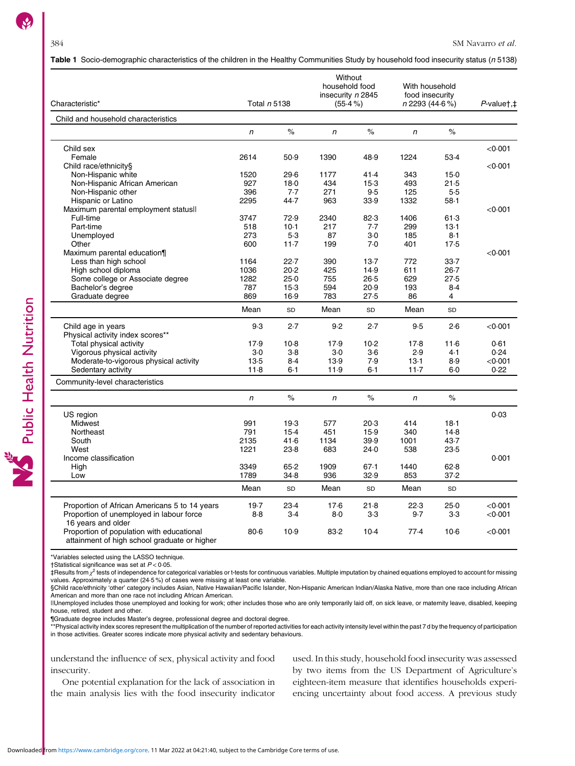Public Health Nutrition

#### <span id="page-5-0"></span>Table 1 Socio-demographic characteristics of the children in the Healthy Communities Study by household food insecurity status (n 5138)

| Characteristic*                                                                                                 | Total n 5138 |         | Without<br>household food<br>insecurity n 2845<br>$(55.4\%)$ |         | With household<br>food insecurity<br>n 2293 (44.6%) |                | $P$ -value†, $\ddagger$ |
|-----------------------------------------------------------------------------------------------------------------|--------------|---------|--------------------------------------------------------------|---------|-----------------------------------------------------|----------------|-------------------------|
| Child and household characteristics                                                                             |              |         |                                                              |         |                                                     |                |                         |
|                                                                                                                 | $\mathsf{n}$ | $\%$    | $\sqrt{n}$                                                   | $\%$    | n                                                   | $\%$           |                         |
|                                                                                                                 |              |         |                                                              |         |                                                     |                |                         |
| Child sex                                                                                                       |              |         |                                                              |         |                                                     |                | < 0.001                 |
| Female                                                                                                          | 2614         | 50.9    | 1390                                                         | 48.9    | 1224                                                | 53.4           |                         |
| Child race/ethnicity§                                                                                           |              |         |                                                              |         |                                                     |                | < 0.001                 |
| Non-Hispanic white                                                                                              | 1520         | 29.6    | 1177                                                         | 41.4    | 343                                                 | $15-0$         |                         |
| Non-Hispanic African American                                                                                   | 927          | 18.0    | 434                                                          | $15-3$  | 493                                                 | 21.5           |                         |
| Non-Hispanic other                                                                                              | 396          | 7.7     | 271                                                          | 9.5     | 125                                                 | 5.5            |                         |
| Hispanic or Latino                                                                                              | 2295         | 44.7    | 963                                                          | 33.9    | 1332                                                | $58-1$         |                         |
| Maximum parental employment status !!                                                                           |              |         |                                                              |         |                                                     |                | < 0.001                 |
| Full-time                                                                                                       | 3747         | 72.9    | 2340                                                         | 82.3    | 1406                                                | 61.3           |                         |
| Part-time                                                                                                       | 518          | 10.1    | 217                                                          | 7.7     | 299                                                 | 13.1           |                         |
| Unemployed                                                                                                      | 273          | 5.3     | 87                                                           | $3-0$   | 185                                                 | $8-1$          |                         |
| Other                                                                                                           | 600          | $11-7$  | 199                                                          | 7.0     | 401                                                 | 17.5           |                         |
| Maximum parental education¶                                                                                     |              |         |                                                              |         |                                                     |                | < 0.001                 |
| Less than high school                                                                                           | 1164         | 22.7    | 390                                                          | 13.7    | 772                                                 | 33.7           |                         |
| High school diploma                                                                                             | 1036         | 20.2    | 425                                                          | 14.9    | 611                                                 | $26 - 7$       |                         |
| Some college or Associate degree                                                                                | 1282         | 25.0    | 755                                                          | 26.5    | 629                                                 | 27.5           |                         |
| Bachelor's degree                                                                                               | 787          | $15-3$  | 594                                                          | 20.9    | 193                                                 | 8.4            |                         |
| Graduate degree                                                                                                 | 869          | 16.9    | 783                                                          | 27.5    | 86                                                  | $\overline{4}$ |                         |
|                                                                                                                 | Mean         | SD      | Mean                                                         | SD      | Mean                                                | SD             |                         |
|                                                                                                                 |              |         |                                                              |         |                                                     |                |                         |
| Child age in years                                                                                              | 9.3          | 2.7     | 9.2                                                          | 2.7     | 9.5                                                 | 2.6            | < 0.001                 |
| Physical activity index scores**                                                                                |              |         |                                                              |         |                                                     |                |                         |
| Total physical activity                                                                                         | 17.9         | $10-8$  | 17.9                                                         | $10-2$  | 17.8                                                | 11.6           | 0.61                    |
| Vigorous physical activity                                                                                      | 3.0          | $3-8$   | $3-0$                                                        | $3-6$   | 2.9                                                 | 4.1            | 0.24                    |
| Moderate-to-vigorous physical activity                                                                          | 13.5         | 8.4     | 13.9                                                         | 7.9     | $13-1$                                              | 8.9            | < 0.001                 |
| Sedentary activity                                                                                              | $11-8$       | $6 - 1$ | 11.9                                                         | $6 - 1$ | $11-7$                                              | $6 - 0$        | 0.22                    |
| Community-level characteristics                                                                                 |              |         |                                                              |         |                                                     |                |                         |
|                                                                                                                 | n            | $\%$    | $\sqrt{n}$                                                   | $\%$    | n                                                   | $\%$           |                         |
| US region                                                                                                       |              |         |                                                              |         |                                                     |                | 0.03                    |
| <b>Midwest</b>                                                                                                  | 991          | 19.3    | 577                                                          | 20.3    | 414                                                 | 18.1           |                         |
| Northeast                                                                                                       | 791          | 15.4    | 451                                                          | 15.9    | 340                                                 | 14.8           |                         |
| South                                                                                                           | 2135         | 41.6    | 1134                                                         | 39.9    | 1001                                                | 43.7           |                         |
| West                                                                                                            | 1221         | 23.8    | 683                                                          | 24.0    | 538                                                 | 23.5           |                         |
| Income classification                                                                                           |              |         |                                                              |         |                                                     |                | 0.001                   |
| High                                                                                                            | 3349         | 65.2    | 1909                                                         | 67.1    | 1440                                                | 62.8           |                         |
| Low                                                                                                             | 1789         | 34.8    | 936                                                          | 32.9    | 853                                                 | 37.2           |                         |
|                                                                                                                 | Mean         | SD      | Mean                                                         | SD      | Mean                                                | SD             |                         |
|                                                                                                                 |              |         |                                                              |         |                                                     |                |                         |
| Proportion of African Americans 5 to 14 years                                                                   | 19.7         | 23.4    | 17.6                                                         | 21.8    | 22.3                                                | 25.0           | < 0.001                 |
| Proportion of unemployed in labour force                                                                        | 8.8          | $3-4$   | 8.0                                                          | $3-3$   | 9.7                                                 | $3-3$          | < 0.001                 |
| 16 years and older<br>Proportion of population with educational<br>attainment of high school graduate or higher | $80 - 6$     | 10.9    | 83.2                                                         | $10-4$  | 77.4                                                | $10-6$         | < 0.001                 |

\*Variables selected using the LASSO technique.

†Statistical significance was set at P < 0·05.

‡Results from χ<sup>2</sup> tests of independence for categorical variables or t-tests for continuous variables. Multiple imputation by chained equations employed to account for missing values. Approximately a quarter (24·5 %) of cases were missing at least one variable.

§Child race/ethnicity 'other' category includes Asian, Native Hawaiian/Pacific Islander, Non-Hispanic American Indian/Alaska Native, more than one race including African American and more than one race not including African American.

||Unemployed includes those unemployed and looking for work; other includes those who are only temporarily laid off, on sick leave, or maternity leave, disabled, keeping house, retired, student and other.

¶Graduate degree includes Master's degree, professional degree and doctoral degree.<br>\*\*Physical activity index scores represent the multiplication of the number of reported activities for each activity intensity level withi in those activities. Greater scores indicate more physical activity and sedentary behaviours.

understand the influence of sex, physical activity and food insecurity.

One potential explanation for the lack of association in the main analysis lies with the food insecurity indicator used. In this study, household food insecurity was assessed by two items from the US Department of Agriculture's eighteen-item measure that identifies households experiencing uncertainty about food access. A previous study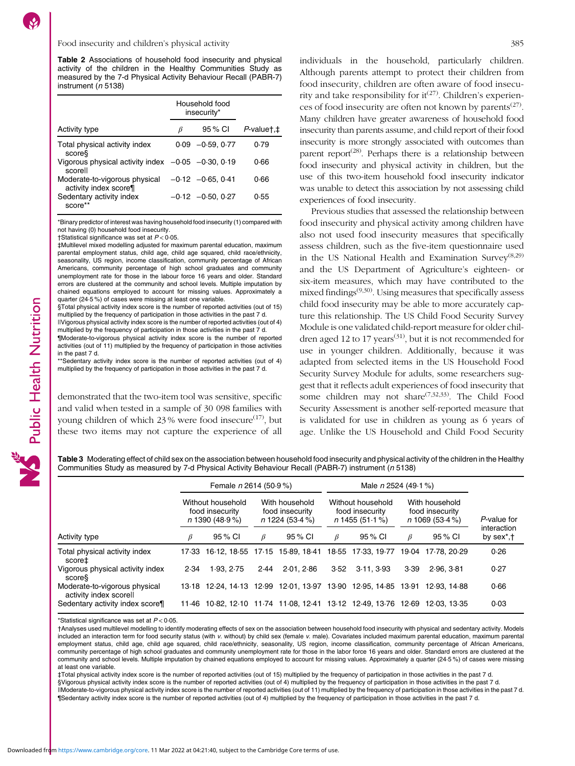<span id="page-6-0"></span>Table 2 Associations of household food insecurity and physical activity of the children in the Healthy Communities Study as measured by the 7-d Physical Activity Behaviour Recall (PABR-7) instrument ( $n$  5138)

|                                                                    |      | Household food<br>insecurity* |                        |
|--------------------------------------------------------------------|------|-------------------------------|------------------------|
| Activity type                                                      | ß    | 95 % CI                       | $P$ valuet, $\ddagger$ |
| Total physical activity index<br>scores                            | 0.09 | $-0.59, 0.77$                 | 0.79                   |
| Vigorous physical activity index $-0.05$ $-0.30$ , 0.19<br>scorell |      |                               | Ი.ᲜᲜ                   |
| Moderate-to-vigorous physical<br>activity index score¶             |      | $-0.12$ $-0.65$ , 0.41        | Ი 66                   |
| Sedentary activity index<br>score                                  |      | $-0.12 -0.50, 0.27$           | 0.55                   |

\*Binary predictor of interest was having household food insecurity (1) compared with not having (0) household food insecurity.

†Statistical significance was set at P < 0·05.

Public Health Nutrition

‡Multilevel mixed modelling adjusted for maximum parental education, maximum parental employment status, child age, child age squared, child race/ethnicity, seasonality, US region, income classification, community percentage of African Americans, community percentage of high school graduates and community unemployment rate for those in the labour force 16 years and older. Standard errors are clustered at the community and school levels. Multiple imputation by chained equations employed to account for missing values. Approximately a quarter (24·5 %) of cases were missing at least one variable.

§Total physical activity index score is the number of reported activities (out of 15) multiplied by the frequency of participation in those activities in the past 7 d.

||Vigorous physical activity index score is the number of reported activities (out of 4) multiplied by the frequency of participation in those activities in the past 7 d.

¶Moderate-to-vigorous physical activity index score is the number of reported activities (out of 11) multiplied by the frequency of participation in those activities in the past 7 d.

\*\*Sedentary activity index score is the number of reported activities (out of 4) multiplied by the frequency of participation in those activities in the past 7 d.

demonstrated that the two-item tool was sensitive, specific and valid when tested in a sample of 30 098 families with young children of which  $23\%$  were food insecure<sup>([17](#page-8-0))</sup>, but these two items may not capture the experience of all individuals in the household, particularly children. Although parents attempt to protect their children from food insecurity, children are often aware of food insecurity and take responsibility for  $it^{(27)}$  $it^{(27)}$  $it^{(27)}$ . Children's experiences of food insecurity are often not known by parents<sup> $(27)$ </sup>. Many children have greater awareness of household food insecurity than parents assume, and child report of their food insecurity is more strongly associated with outcomes than parent report<sup> $(28)$ </sup>. Perhaps there is a relationship between food insecurity and physical activity in children, but the use of this two-item household food insecurity indicator was unable to detect this association by not assessing child experiences of food insecurity.

Previous studies that assessed the relationship between food insecurity and physical activity among children have also not used food insecurity measures that specifically assess children, such as the five-item questionnaire used in the US National Health and Examination Survey<sup> $(8,29)$  $(8,29)$  $(8,29)$  $(8,29)$  $(8,29)$ </sup> and the US Department of Agriculture's eighteen- or six-item measures, which may have contributed to the mixed findings([9](#page-8-0),[30](#page-8-0)). Using measures that specifically assess child food insecurity may be able to more accurately capture this relationship. The US Child Food Security Survey Module is one validated child-report measure for older chil-dren aged 12 to 17 years<sup>[\(31](#page-8-0))</sup>, but it is not recommended for use in younger children. Additionally, because it was adapted from selected items in the US Household Food Security Survey Module for adults, some researchers suggest that it reflects adult experiences of food insecurity that some children may not share([7](#page-8-0),[32,33\)](#page-8-0). The Child Food Security Assessment is another self-reported measure that is validated for use in children as young as 6 years of age. Unlike the US Household and Child Food Security

Table 3 Moderating effect of child sex on the association between household food insecurity and physical activity of the children in the Healthy Communities Study as measured by 7-d Physical Activity Behaviour Recall (PABR-7) instrument (n 5138)

|                                                         |                                                          | Female $n$ 2614 (50.9%) |                                                        |                                                                         |                                                           | Male $n$ 2524 (49.1 %) |                                                        |             |                                                   |
|---------------------------------------------------------|----------------------------------------------------------|-------------------------|--------------------------------------------------------|-------------------------------------------------------------------------|-----------------------------------------------------------|------------------------|--------------------------------------------------------|-------------|---------------------------------------------------|
|                                                         | Without household<br>food insecurity<br>$n$ 1390 (48.9%) |                         | With household<br>food insecurity<br>$n$ 1224 (53.4 %) |                                                                         | Without household<br>food insecurity<br>$n$ 1455 (51.1 %) |                        | With household<br>food insecurity<br>$n$ 1069 (53.4 %) |             | P-value for                                       |
| Activity type                                           | ß                                                        | 95 % CI                 | B                                                      | 95 % CI                                                                 | B                                                         | 95 % CI                | $\beta$                                                | 95 % CI     | interaction<br>by sex <sup>*</sup> , <sup>†</sup> |
| Total physical activity index<br>score‡                 |                                                          |                         |                                                        | 17.33 16.12 18.55 17.15 15.89 18.41 18.55 17.33 19.77 19.04 17.78 20.29 |                                                           |                        |                                                        |             | 0.26                                              |
| Vigorous physical activity index<br>score               | 2.34                                                     | 1.93, 2.75              | 2.44                                                   | 2.01, 2.86                                                              | 3.52                                                      | 3.11.3.93              | 3.39                                                   | 2.96.3.81   | 0.27                                              |
| Moderate-to-vigorous physical<br>activity index scorell |                                                          |                         |                                                        | 13.18 12.24 14.13 12.99 12.01 13.97 13.90 12.95 14.85 13.91             |                                                           |                        |                                                        | 12.93.14.88 | 0.66                                              |
| Sedentary activity index score¶                         | 11.46                                                    |                         |                                                        | 10.82, 12.10 11.74 11.08, 12.41 13.12 12.49, 13.76 12.69                |                                                           |                        |                                                        | 12.03.13.35 | 0.03                                              |

\*Statistical significance was set at  $P < 0.05$ .

†Analyses used multilevel modelling to identify moderating effects of sex on the association between household food insecurity with physical and sedentary activity. Models included an interaction term for food security status (with v. without) by child sex (female v. male). Covariates included maximum parental education, maximum parental employment status, child age, child age squared, child race/ethnicity, seasonality, US region, income classification, community percentage of African Americans, community percentage of high school graduates and community unemployment rate for those in the labor force 16 years and older. Standard errors are clustered at the community and school levels. Multiple imputation by chained equations employed to account for missing values. Approximately a quarter (24·5 %) of cases were missing at least one variable.

‡Total physical activity index score is the number of reported activities (out of 15) multiplied by the frequency of participation in those activities in the past 7 d. §Vigorous physical activity index score is the number of reported activities (out of 4) multiplied by the frequency of participation in those activities in the past 7 d. ||Moderate-to-vigorous physical activity index score is the number of reported activities (out of 11) multiplied by the frequency of participation in those activities in the past 7 d. ¶Sedentary activity index score is the number of reported activities (out of 4) multiplied by the frequency of participation in those activities in the past 7 d.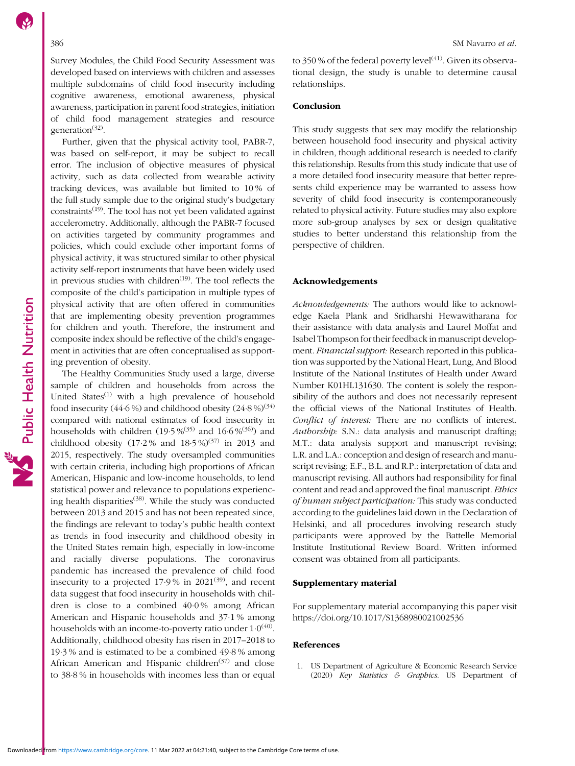<span id="page-7-0"></span>Survey Modules, the Child Food Security Assessment was developed based on interviews with children and assesses multiple subdomains of child food insecurity including cognitive awareness, emotional awareness, physical awareness, participation in parent food strategies, initiation of child food management strategies and resource generation $^{(32)}$  $^{(32)}$  $^{(32)}$ .

Further, given that the physical activity tool, PABR-7, was based on self-report, it may be subject to recall error. The inclusion of objective measures of physical activity, such as data collected from wearable activity tracking devices, was available but limited to 10 % of the full study sample due to the original study's budgetary  $constants<sup>(19)</sup>$  $constants<sup>(19)</sup>$  $constants<sup>(19)</sup>$ . The tool has not yet been validated against accelerometry. Additionally, although the PABR-7 focused on activities targeted by community programmes and policies, which could exclude other important forms of physical activity, it was structured similar to other physical activity self-report instruments that have been widely used in previous studies with children<sup> $(19)$ </sup>. The tool reflects the composite of the child's participation in multiple types of physical activity that are often offered in communities that are implementing obesity prevention programmes for children and youth. Therefore, the instrument and composite index should be reflective of the child's engagement in activities that are often conceptualised as supporting prevention of obesity.

The Healthy Communities Study used a large, diverse sample of children and households from across the United States $^{(1)}$  with a high prevalence of household food insecurity  $(44.6\%)$  and childhood obesity  $(24.8\%)^{(34)}$  $(24.8\%)^{(34)}$  $(24.8\%)^{(34)}$ compared with national estimates of food insecurity in households with children  $(19.5\%/035)}$  $(19.5\%/035)}$  $(19.5\%/035)}$  and  $16.6\%/036)}$  and childhood obesity  $(17.2 %$  and  $18.5 %)^{(37)}$  $18.5 %)^{(37)}$  $18.5 %)^{(37)}$  in 2013 and 2015, respectively. The study oversampled communities with certain criteria, including high proportions of African American, Hispanic and low-income households, to lend statistical power and relevance to populations experienc-ing health disparities<sup>[\(38](#page-9-0))</sup>. While the study was conducted between 2013 and 2015 and has not been repeated since, the findings are relevant to today's public health context as trends in food insecurity and childhood obesity in the United States remain high, especially in low-income and racially diverse populations. The coronavirus pandemic has increased the prevalence of child food insecurity to a projected  $17.9\%$  in  $2021^{(39)}$  $2021^{(39)}$  $2021^{(39)}$ , and recent data suggest that food insecurity in households with children is close to a combined 40·0 % among African American and Hispanic households and 37·1 % among households with an income-to-poverty ratio under  $1.0^{(40)}$  $1.0^{(40)}$  $1.0^{(40)}$ . Additionally, childhood obesity has risen in 2017–2018 to 19·3 % and is estimated to be a combined 49·8 % among African American and Hispanic children<sup>([37\)](#page-9-0)</sup> and close to 38·8 % in households with incomes less than or equal

to 350 % of the federal poverty level $(41)$  $(41)$ . Given its observational design, the study is unable to determine causal relationships.

#### Conclusion

This study suggests that sex may modify the relationship between household food insecurity and physical activity in children, though additional research is needed to clarify this relationship. Results from this study indicate that use of a more detailed food insecurity measure that better represents child experience may be warranted to assess how severity of child food insecurity is contemporaneously related to physical activity. Future studies may also explore more sub-group analyses by sex or design qualitative studies to better understand this relationship from the perspective of children.

### Acknowledgements

Acknowledgements: The authors would like to acknowledge Kaela Plank and Sridharshi Hewawitharana for their assistance with data analysis and Laurel Moffat and Isabel Thompson for their feedback in manuscript development. Financial support: Research reported in this publication was supported by the National Heart, Lung, And Blood Institute of the National Institutes of Health under Award Number K01HL131630. The content is solely the responsibility of the authors and does not necessarily represent the official views of the National Institutes of Health. Conflict of interest: There are no conflicts of interest. Authorship: S.N.: data analysis and manuscript drafting; M.T.: data analysis support and manuscript revising; L.R. and L.A.: conception and design of research and manuscript revising; E.F., B.L. and R.P.: interpretation of data and manuscript revising. All authors had responsibility for final content and read and approved the final manuscript. Ethics of human subject participation: This study was conducted according to the guidelines laid down in the Declaration of Helsinki, and all procedures involving research study participants were approved by the Battelle Memorial Institute Institutional Review Board. Written informed consent was obtained from all participants.

#### Supplementary material

For supplementary material accompanying this paper visit <https://doi.org/10.1017/S1368980021002536>

#### References

1. US Department of Agriculture & Economic Research Service (2020) Key Statistics & Graphics. US Department of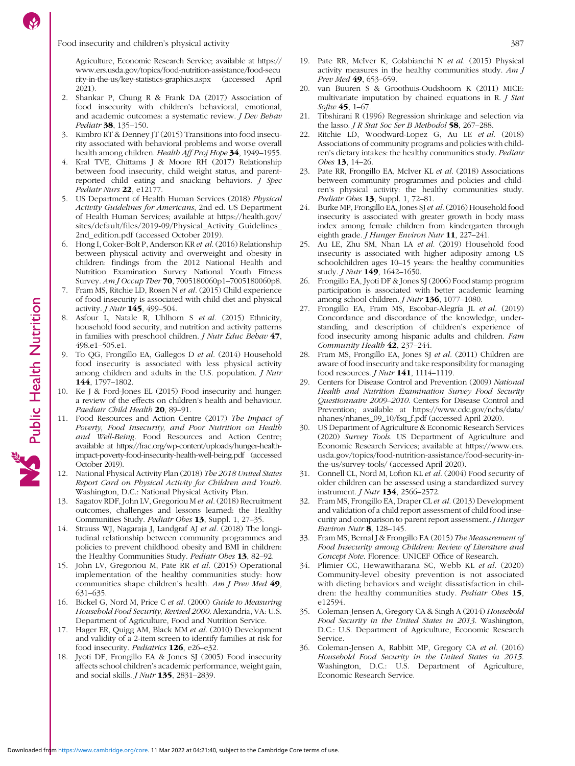#### <span id="page-8-0"></span>Food insecurity and children's physical activity 387

Agriculture, Economic Research Service; available at [https://](https://www.ers.usda.gov/topics/food-nutrition-assistance/food-security-in-the-us/key-statistics-graphics.aspx) [www.ers.usda.gov/topics/food-nutrition-assistance/food-secu](https://www.ers.usda.gov/topics/food-nutrition-assistance/food-security-in-the-us/key-statistics-graphics.aspx) [rity-in-the-us/key-statistics-graphics.aspx](https://www.ers.usda.gov/topics/food-nutrition-assistance/food-security-in-the-us/key-statistics-graphics.aspx) (accessed April 2021).

- 2. Shankar P, Chung R & Frank DA (2017) Association of food insecurity with children's behavioral, emotional, and academic outcomes: a systematic review. *J Dev Behav* Pediatr 38, 135–150.
- 3. Kimbro RT & Denney JT (2015) Transitions into food insecurity associated with behavioral problems and worse overall health among children. Health Aff Proj Hope 34, 1949-1955.
- 4. Kral TVE, Chittams J & Moore RH (2017) Relationship between food insecurity, child weight status, and parentreported child eating and snacking behaviors. J Spec Pediatr Nurs 22, e12177
- 5. US Department of Health Human Services (2018) Physical Activity Guidelines for Americans, 2nd ed. US Department of Health Human Services; available at [https://health.gov/](https://health.gov/sites/default/files/2019-09/Physical_Activity_Guidelines_2nd_edition.pdf) [sites/default/files/2019-09/Physical\\_Activity\\_Guidelines\\_](https://health.gov/sites/default/files/2019-09/Physical_Activity_Guidelines_2nd_edition.pdf) [2nd\\_edition.pdf](https://health.gov/sites/default/files/2019-09/Physical_Activity_Guidelines_2nd_edition.pdf) (accessed October 2019).
- 6. Hong I, Coker-Bolt P, Anderson KR et al. (2016) Relationship between physical activity and overweight and obesity in children: findings from the 2012 National Health and Nutrition Examination Survey National Youth Fitness Survey. Am J Occup Ther 70, 7005180060p1–7005180060p8.
- Fram MS, Ritchie LD, Rosen N et al. (2015) Child experience of food insecurity is associated with child diet and physical activity. J Nutr 145, 499–504.
- 8. Asfour L, Natale R, Uhlhorn S et al. (2015) Ethnicity, household food security, and nutrition and activity patterns in families with preschool children. J Nutr Educ Behav 47,  $498e1-505e1$
- To QG, Frongillo EA, Gallegos D et al. (2014) Household food insecurity is associated with less physical activity among children and adults in the U.S. population. J Nutr 144, 1797–1802.
- 10. Ke J & Ford-Jones EL (2015) Food insecurity and hunger: a review of the effects on children's health and behaviour. Paediatr Child Health 20, 89-91.
- Food Resources and Action Centre (2017) The Impact of Poverty, Food Insecurity, and Poor Nutrition on Health and Well-Being. Food Resources and Action Centre; available at [https://frac.org/wp-content/uploads/hunger-health](https://frac.org/wp-content/uploads/hunger-health-impact-poverty-food-insecurity-health-well-being.pdf)[impact-poverty-food-insecurity-health-well-being.pdf](https://frac.org/wp-content/uploads/hunger-health-impact-poverty-food-insecurity-health-well-being.pdf) (accessed October 2019).
- 12. National Physical Activity Plan (2018) The 2018 United States Report Card on Physical Activity for Children and Youth. Washington, D.C.: National Physical Activity Plan.
- 13. Sagatov RDF, John LV, Gregoriou M et al. (2018) Recruitment outcomes, challenges and lessons learned: the Healthy Communities Study. Pediatr Obes 13, Suppl. 1, 27–35.
- 14. Strauss WJ, Nagaraja J, Landgraf AJ et al. (2018) The longitudinal relationship between community programmes and policies to prevent childhood obesity and BMI in children: the Healthy Communities Study. Pediatr Obes 13, 82-92.
- 15. John LV, Gregoriou M, Pate RR et al. (2015) Operational implementation of the healthy communities study: how communities shape children's health. Am J Prev Med 49, 631–635.
- 16. Bickel G, Nord M, Price C et al. (2000) Guide to Measuring Household Food Security, Revised 2000. Alexandria, VA: U.S. Department of Agriculture, Food and Nutrition Service.
- 17. Hager ER, Quigg AM, Black MM et al. (2010) Development and validity of a 2-item screen to identify families at risk for food insecurity. Pediatrics 126, e26–e32.
- 18. Jyoti DF, Frongillo EA & Jones SJ (2005) Food insecurity affects school children's academic performance, weight gain, and social skills. J Nutr 135, 2831–2839.
- 19. Pate RR, McIver K, Colabianchi N et al. (2015) Physical activity measures in the healthy communities study.  $AmJ$ Prev Med 49, 653-659.
- 20. van Buuren S & Groothuis-Oudshoorn K (2011) MICE: multivariate imputation by chained equations in R. J Stat Softw 45, 1-67.
- 21. Tibshirani R (1996) Regression shrinkage and selection via the lasso. *J R Stat Soc Ser B Methodol* 58, 267-288.
- 22. Ritchie LD, Woodward-Lopez G, Au LE et al. (2018) Associations of community programs and policies with children's dietary intakes: the healthy communities study. Pediatr Obes **13**, 14-26.
- 23. Pate RR, Frongillo EA, McIver KL et al. (2018) Associations between community programmes and policies and children's physical activity: the healthy communities study. Pediatr Obes **13**, Suppl. 1, 72-81.
- 24. Burke MP, Frongillo EA, Jones SJ et al. (2016) Household food insecurity is associated with greater growth in body mass index among female children from kindergarten through eighth grade. *J Hunger Environ Nutr* **11**, 227–241.
- 25. Au LE, Zhu SM, Nhan LA et al. (2019) Household food insecurity is associated with higher adiposity among US schoolchildren ages 10–15 years: the healthy communities study. *J Nutr* **149**, 1642-1650.
- 26. Frongillo EA, Jyoti DF & Jones SJ (2006) Food stamp program participation is associated with better academic learning among school children. J Nutr 136, 1077–1080.
- 27. Frongillo EA, Fram MS, Escobar-Alegría JL et al. (2019) Concordance and discordance of the knowledge, understanding, and description of children's experience of food insecurity among hispanic adults and children. Fam Community Health 42, 237–244.
- 28. Fram MS, Frongillo EA, Jones SJ et al. (2011) Children are aware of food insecurity and take responsibility for managing food resources. J Nutr 141, 1114–1119.
- 29. Centers for Disease Control and Prevention (2009) National Health and Nutrition Examination Survey Food Security Questionnaire 2009–2010. Centers for Disease Control and Prevention; available at [https://www.cdc.gov/nchs/data/](https://www.cdc.gov/nchs/data/nhanes/nhanes_09_10/fsq_f.pdf) [nhanes/nhanes\\_09\\_10/fsq\\_f.pdf](https://www.cdc.gov/nchs/data/nhanes/nhanes_09_10/fsq_f.pdf) (accessed April 2020).
- 30. US Department of Agriculture & Economic Research Services (2020) Survey Tools. US Department of Agriculture and Economic Research Services; available at [https://www.ers.](https://www.ers.usda.gov/topics/food-nutrition-assistance/food-security-in-the-us/survey-tools/) [usda.gov/topics/food-nutrition-assistance/food-security-in](https://www.ers.usda.gov/topics/food-nutrition-assistance/food-security-in-the-us/survey-tools/)[the-us/survey-tools/](https://www.ers.usda.gov/topics/food-nutrition-assistance/food-security-in-the-us/survey-tools/) (accessed April 2020).
- 31. Connell CL, Nord M, Lofton KL et al. (2004) Food security of older children can be assessed using a standardized survey instrument. *J Nutr* 134, 2566-2572.
- 32. Fram MS, Frongillo EA, Draper CL et al. (2013) Development and validation of a child report assessment of child food insecurity and comparison to parent report assessment. *J Hunger* Environ Nutr 8, 128–145.
- 33. Fram MS, Bernal J & Frongillo EA (2015) The Measurement of Food Insecurity among Children: Review of Literature and Concept Note. Florence: UNICEF Office of Research.
- 34. Plimier CC, Hewawitharana SC, Webb KL et al. (2020) Community-level obesity prevention is not associated with dieting behaviors and weight dissatisfaction in children: the healthy communities study. Pediatr Obes 15, e12594.
- 35. Coleman-Jensen A, Gregory CA & Singh A (2014) Household Food Security in the United States in 2013. Washington, D.C.: U.S. Department of Agriculture, Economic Research Service.
- 36. Coleman-Jensen A, Rabbitt MP, Gregory CA et al. (2016) Household Food Security in the United States in 2015. Washington, D.C.: U.S. Department of Agriculture, Economic Research Service.